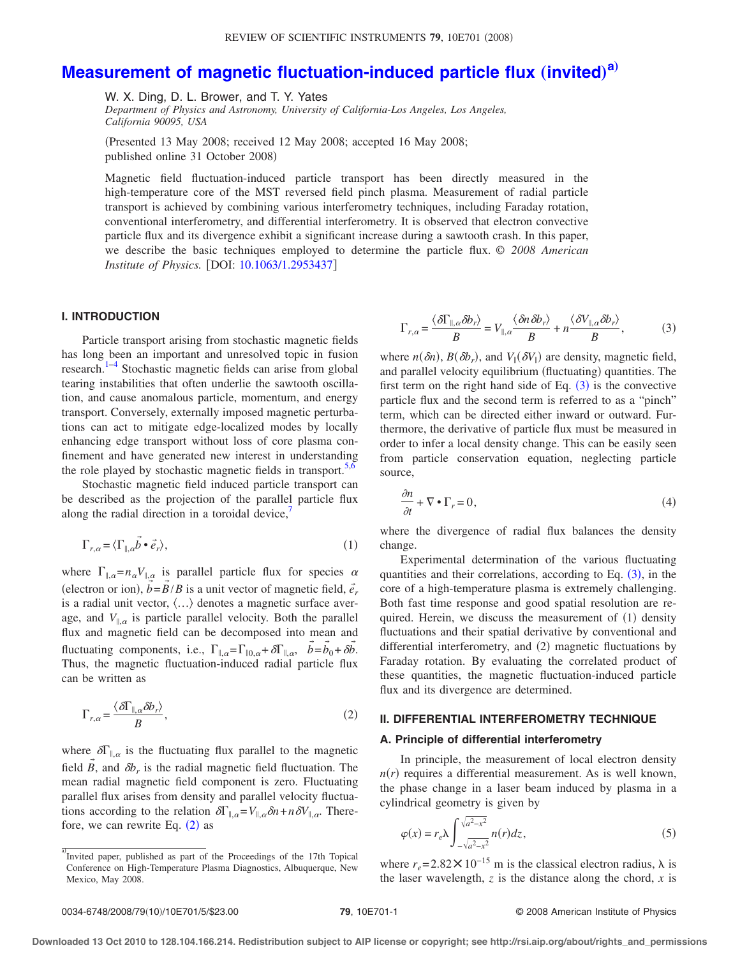# **[Measurement of magnetic fluctuation-induced particle flux](http://dx.doi.org/10.1063/1.2953437) (invited)<sup>[a](#page-0-0))</sup>**

W. X. Ding, D. L. Brower, and T. Y. Yates

*Department of Physics and Astronomy, University of California-Los Angeles, Los Angeles, California 90095, USA*

!Presented 13 May 2008; received 12 May 2008; accepted 16 May 2008; published online 31 October 2008)

Magnetic field fluctuation-induced particle transport has been directly measured in the high-temperature core of the MST reversed field pinch plasma. Measurement of radial particle transport is achieved by combining various interferometry techniques, including Faraday rotation, conventional interferometry, and differential interferometry. It is observed that electron convective particle flux and its divergence exhibit a significant increase during a sawtooth crash. In this paper, we describe the basic techniques employed to determine the particle flux. *© 2008 American Institute of Physics.* [DOI: [10.1063/1.2953437](http://dx.doi.org/10.1063/1.2953437)]

### **I. INTRODUCTION**

Particle transport arising from stochastic magnetic fields has long been an important and unresolved topic in fusion research. $1-4$  Stochastic magnetic fields can arise from global tearing instabilities that often underlie the sawtooth oscillation, and cause anomalous particle, momentum, and energy transport. Conversely, externally imposed magnetic perturbations can act to mitigate edge-localized modes by locally enhancing edge transport without loss of core plasma confinement and have generated new interest in understanding the role played by stochastic magnetic fields in transport.<sup>5[,6](#page-4-3)</sup>

Stochastic magnetic field induced particle transport can be described as the projection of the parallel particle flux along the radial direction in a toroidal device, $\frac{7}{2}$ 

$$
\Gamma_{r,\alpha} = \langle \Gamma_{\parallel,\alpha} \vec{b} \cdot \vec{e}_r \rangle, \tag{1}
$$

where  $\Gamma_{\parallel,\alpha} = n_{\alpha} V_{\parallel,\alpha}$  is parallel particle flux for species  $\alpha$ (electron or ion),  $b = B/B$  is a unit vector of magnetic field,  $\vec{e}_r$ → → is a radial unit vector,  $\langle \ldots \rangle$  denotes a magnetic surface average, and  $V_{\parallel,\alpha}$  is particle parallel velocity. Both the parallel flux and magnetic field can be decomposed into mean and fluctuating components, i.e.,  $\Gamma_{\parallel,\alpha} = \Gamma_{\parallel 0,\alpha} + \delta \Gamma_{\parallel,\alpha}, \quad \vec{b} = \vec{b}_0 + \delta \vec{b}$ . Thus, the magnetic fluctuation-induced radial particle flux can be written as

<span id="page-0-1"></span>
$$
\Gamma_{r,\alpha} = \frac{\langle \delta \Gamma_{\parallel,\alpha} \delta b_r \rangle}{B},\tag{2}
$$

where  $\delta\Gamma_{\parallel,\alpha}$  is the fluctuating flux parallel to the magnetic field  $\vec{B}$ , and  $\delta b_r$  is the radial magnetic field fluctuation. The mean radial magnetic field component is zero. Fluctuating parallel flux arises from density and parallel velocity fluctuations according to the relation  $\delta\Gamma_{\parallel,\alpha} = V_{\parallel,\alpha} \delta n + n \delta V_{\parallel,\alpha}$ . Therefore, we can rewrite Eq.  $(2)$  $(2)$  $(2)$  as

<span id="page-0-2"></span>
$$
\Gamma_{r,\alpha} = \frac{\langle \delta \Gamma_{\parallel,\alpha} \delta b_r \rangle}{B} = V_{\parallel,\alpha} \frac{\langle \delta n \delta b_r \rangle}{B} + n \frac{\langle \delta V_{\parallel,\alpha} \delta b_r \rangle}{B},\tag{3}
$$

where  $n(\delta n)$ ,  $B(\delta b_r)$ , and  $V_{\parallel}(\delta V_{\parallel})$  are density, magnetic field, and parallel velocity equilibrium (fluctuating) quantities. The first term on the right hand side of Eq.  $(3)$  $(3)$  $(3)$  is the convective particle flux and the second term is referred to as a "pinch" term, which can be directed either inward or outward. Furthermore, the derivative of particle flux must be measured in order to infer a local density change. This can be easily seen from particle conservation equation, neglecting particle source,

$$
\frac{\partial n}{\partial t} + \nabla \bullet \Gamma_r = 0,\tag{4}
$$

where the divergence of radial flux balances the density change.

Experimental determination of the various fluctuating quantities and their correlations, according to Eq.  $(3)$  $(3)$  $(3)$ , in the core of a high-temperature plasma is extremely challenging. Both fast time response and good spatial resolution are required. Herein, we discuss the measurement of  $(1)$  density fluctuations and their spatial derivative by conventional and differential interferometry, and (2) magnetic fluctuations by Faraday rotation. By evaluating the correlated product of these quantities, the magnetic fluctuation-induced particle flux and its divergence are determined.

## **II. DIFFERENTIAL INTERFEROMETRY TECHNIQUE**

#### **A. Principle of differential interferometry**

In principle, the measurement of local electron density  $n(r)$  requires a differential measurement. As is well known, the phase change in a laser beam induced by plasma in a cylindrical geometry is given by

<span id="page-0-3"></span>
$$
\varphi(x) = r_e \lambda \int_{-\sqrt{a^2 - x^2}}^{\sqrt{a^2 - x^2}} n(r) dz,
$$
\n(5)

where  $r_e = 2.82 \times 10^{-15}$  m is the classical electron radius,  $\lambda$  is the laser wavelength,  $z$  is the distance along the chord,  $x$  is

<span id="page-0-0"></span>a)<br>Invited paper, published as part of the Proceedings of the 17th Topical Conference on High-Temperature Plasma Diagnostics, Albuquerque, New Mexico, May 2008.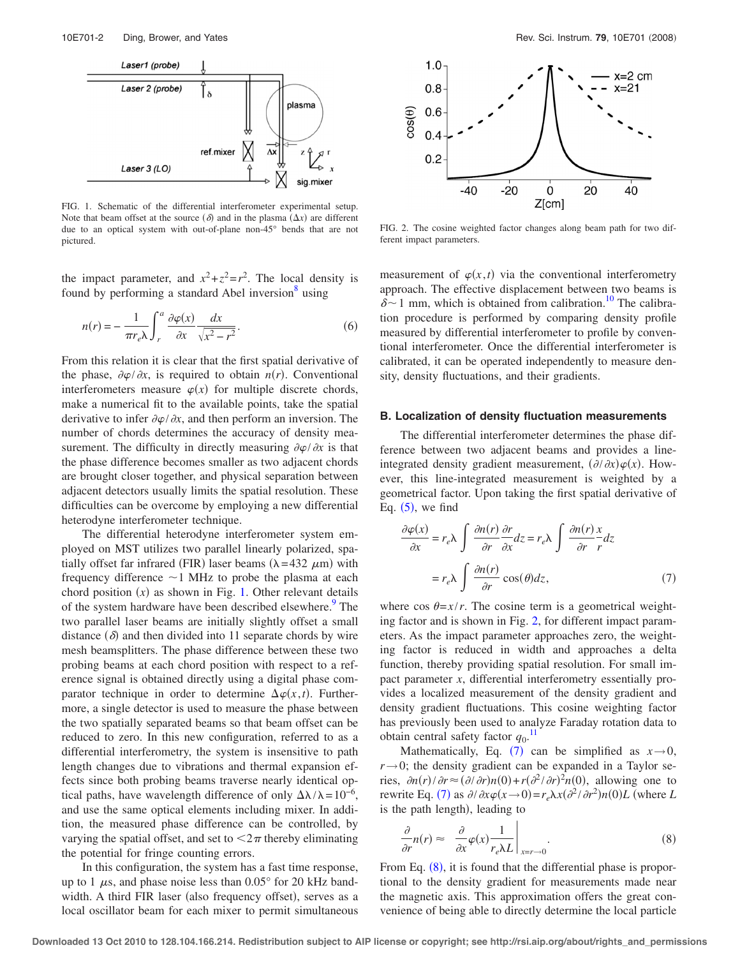<span id="page-1-0"></span>

FIG. 1. Schematic of the differential interferometer experimental setup. Note that beam offset at the source  $(\delta)$  and in the plasma  $(\Delta x)$  are different due to an optical system with out-of-plane non-45° bends that are not pictured.

the impact parameter, and  $x^2 + z^2 = r^2$ . The local density is found by performing a standard Abel inversion $\delta$  using

$$
n(r) = -\frac{1}{\pi r_e \lambda} \int_r^a \frac{\partial \varphi(x)}{\partial x} \frac{dx}{\sqrt{x^2 - r^2}}.
$$
 (6)

From this relation it is clear that the first spatial derivative of the phase,  $\partial \varphi / \partial x$ , is required to obtain *n(r)*. Conventional interferometers measure  $\varphi(x)$  for multiple discrete chords, make a numerical fit to the available points, take the spatial derivative to infer  $\partial \varphi / \partial x$ , and then perform an inversion. The number of chords determines the accuracy of density measurement. The difficulty in directly measuring  $\partial \varphi / \partial x$  is that the phase difference becomes smaller as two adjacent chords are brought closer together, and physical separation between adjacent detectors usually limits the spatial resolution. These difficulties can be overcome by employing a new differential heterodyne interferometer technique.

The differential heterodyne interferometer system employed on MST utilizes two parallel linearly polarized, spatially offset far infrared (FIR) laser beams  $(\lambda = 432 \ \mu m)$  with frequency difference  $\sim$ 1 MHz to probe the plasma at each chord position  $(x)$  as shown in Fig. [1.](#page-1-0) Other relevant details of the system hardware have been described elsewhere.<sup>9</sup> The two parallel laser beams are initially slightly offset a small distance  $(\delta)$  and then divided into 11 separate chords by wire mesh beamsplitters. The phase difference between these two probing beams at each chord position with respect to a reference signal is obtained directly using a digital phase comparator technique in order to determine  $\Delta \varphi(x,t)$ . Furthermore, a single detector is used to measure the phase between the two spatially separated beams so that beam offset can be reduced to zero. In this new configuration, referred to as a differential interferometry, the system is insensitive to path length changes due to vibrations and thermal expansion effects since both probing beams traverse nearly identical optical paths, have wavelength difference of only  $\Delta \lambda / \lambda = 10^{-6}$ , and use the same optical elements including mixer. In addition, the measured phase difference can be controlled, by varying the spatial offset, and set to  $\langle 2\pi$  thereby eliminating the potential for fringe counting errors.

In this configuration, the system has a fast time response, up to 1  $\mu$ s, and phase noise less than 0.05° for 20 kHz bandwidth. A third FIR laser (also frequency offset), serves as a local oscillator beam for each mixer to permit simultaneous

<span id="page-1-1"></span>

FIG. 2. The cosine weighted factor changes along beam path for two different impact parameters.

measurement of  $\varphi(x,t)$  via the conventional interferometry approach. The effective displacement between two beams is  $\delta$ ~1 mm, which is obtained from calibration.<sup>10</sup> The calibration procedure is performed by comparing density profile measured by differential interferometer to profile by conventional interferometer. Once the differential interferometer is calibrated, it can be operated independently to measure density, density fluctuations, and their gradients.

#### **B. Localization of density fluctuation measurements**

The differential interferometer determines the phase difference between two adjacent beams and provides a lineintegrated density gradient measurement,  $(\partial/\partial x)\varphi(x)$ . However, this line-integrated measurement is weighted by a geometrical factor. Upon taking the first spatial derivative of Eq.  $(5)$  $(5)$  $(5)$ , we find

<span id="page-1-2"></span>
$$
\frac{\partial \varphi(x)}{\partial x} = r_e \lambda \int \frac{\partial n(r)}{\partial r} \frac{\partial r}{\partial x} dz = r_e \lambda \int \frac{\partial n(r)}{\partial r} \frac{x}{r} dz
$$

$$
= r_e \lambda \int \frac{\partial n(r)}{\partial r} \cos(\theta) dz,
$$
(7)

where cos  $\theta = x/r$ . The cosine term is a geometrical weighting factor and is shown in Fig. [2,](#page-1-1) for different impact parameters. As the impact parameter approaches zero, the weighting factor is reduced in width and approaches a delta function, thereby providing spatial resolution. For small impact parameter *x*, differential interferometry essentially provides a localized measurement of the density gradient and density gradient fluctuations. This cosine weighting factor has previously been used to analyze Faraday rotation data to obtain central safety factor  $q_0$ .<sup>[11](#page-4-8)</sup>

Mathematically, Eq. ([7](#page-1-2)) can be simplified as  $x \rightarrow 0$ ,  $r \rightarrow 0$ ; the density gradient can be expanded in a Taylor series,  $\partial n(r)/\partial r \approx (\partial/\partial r)n(0) + r(\partial^2/\partial r)^2n(0)$ , allowing one to rewrite Eq. ([7](#page-1-2)) as  $\partial/\partial x \varphi(x \to 0) = r_e \lambda x (\partial^2/\partial r^2) n(0) L$  (where *L* is the path length), leading to

<span id="page-1-3"></span>
$$
\frac{\partial}{\partial r}n(r) \approx \left.\frac{\partial}{\partial x}\varphi(x)\frac{1}{r_e\lambda L}\right|_{x=r\to 0}.\tag{8}
$$

From Eq.  $(8)$  $(8)$  $(8)$ , it is found that the differential phase is proportional to the density gradient for measurements made near the magnetic axis. This approximation offers the great convenience of being able to directly determine the local particle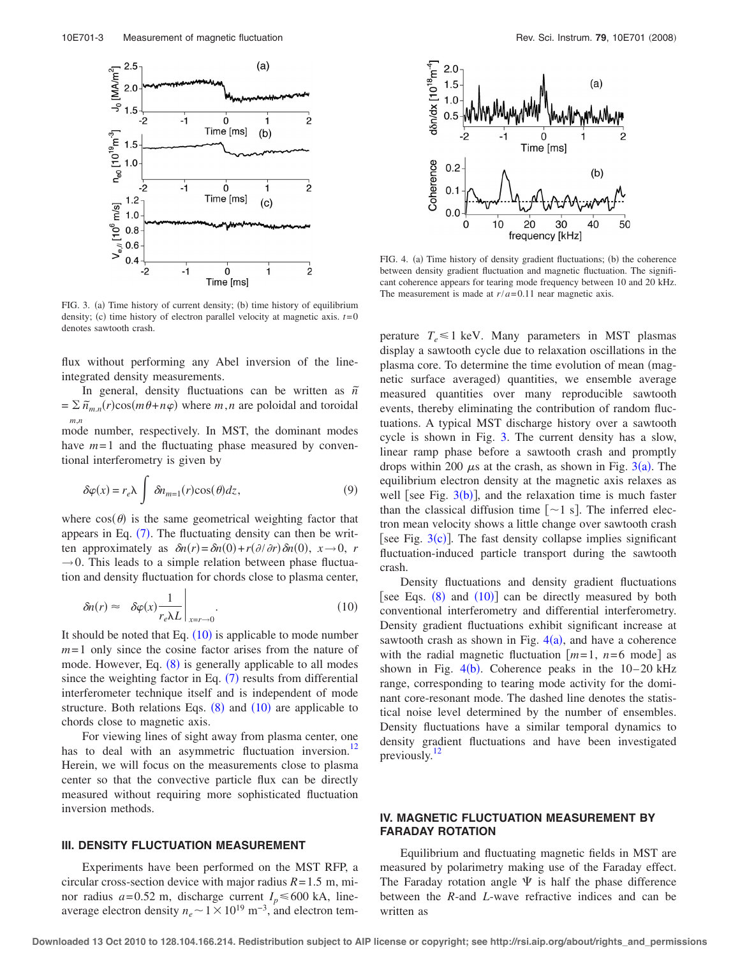<span id="page-2-1"></span>

FIG. 3. (a) Time history of current density; (b) time history of equilibrium density; (c) time history of electron parallel velocity at magnetic axis.  $t=0$ denotes sawtooth crash.

flux without performing any Abel inversion of the lineintegrated density measurements.

In general, density fluctuations can be written as  $\tilde{n}$  $= \sum \tilde{n}_{m,n}(r)\cos(m\theta+n\varphi)$  where *m*,*n* are poloidal and toroidal *m*,*n*

mode number, respectively. In MST, the dominant modes have  $m=1$  and the fluctuating phase measured by conventional interferometry is given by

$$
\delta\varphi(x) = r_e \lambda \int \delta n_{m=1}(r) \cos(\theta) dz, \qquad (9)
$$

where  $cos(\theta)$  is the same geometrical weighting factor that appears in Eq.  $(7)$  $(7)$  $(7)$ . The fluctuating density can then be written approximately as  $\delta n(r) = \delta n(0) + r(\partial/\partial r) \delta n(0), x \rightarrow 0, r$  $\rightarrow$  0. This leads to a simple relation between phase fluctuation and density fluctuation for chords close to plasma center,

<span id="page-2-0"></span>
$$
\delta n(r) \approx \left. \delta \varphi(x) \frac{1}{r_e \lambda L} \right|_{x=r \to 0}.
$$
 (10)

It should be noted that Eq.  $(10)$  $(10)$  $(10)$  is applicable to mode number *m*= 1 only since the cosine factor arises from the nature of mode. However, Eq.  $(8)$  $(8)$  $(8)$  is generally applicable to all modes since the weighting factor in Eq.  $(7)$  $(7)$  $(7)$  results from differential interferometer technique itself and is independent of mode structure. Both relations Eqs.  $(8)$  $(8)$  $(8)$  and  $(10)$  $(10)$  $(10)$  are applicable to chords close to magnetic axis.

For viewing lines of sight away from plasma center, one has to deal with an asymmetric fluctuation inversion.<sup>12</sup> Herein, we will focus on the measurements close to plasma center so that the convective particle flux can be directly measured without requiring more sophisticated fluctuation inversion methods.

#### **III. DENSITY FLUCTUATION MEASUREMENT**

Experiments have been performed on the MST RFP, a circular cross-section device with major radius *R*= 1.5 m, minor radius  $a = 0.52$  m, discharge current  $I_p \le 600$  kA, lineaverage electron density  $n_e \sim 1 \times 10^{19} \text{ m}^{-3}$ , and electron tem-

<span id="page-2-2"></span>

FIG. 4. (a) Time history of density gradient fluctuations; (b) the coherence between density gradient fluctuation and magnetic fluctuation. The significant coherence appears for tearing mode frequency between 10 and 20 kHz. The measurement is made at  $r/a = 0.11$  near magnetic axis.

perature  $T_e \leq 1$  keV. Many parameters in MST plasmas display a sawtooth cycle due to relaxation oscillations in the plasma core. To determine the time evolution of mean (magnetic surface averaged) quantities, we ensemble average measured quantities over many reproducible sawtooth events, thereby eliminating the contribution of random fluctuations. A typical MST discharge history over a sawtooth cycle is shown in Fig. [3.](#page-2-1) The current density has a slow, linear ramp phase before a sawtooth crash and promptly drops within 200  $\mu$ s at the crash, as shown in Fig. [3](#page-2-1)(a). The equilibrium electron density at the magnetic axis relaxes as well [see Fig.  $3(b)$  $3(b)$ ], and the relaxation time is much faster than the classical diffusion time  $[-1 \text{ s}]$ . The inferred electron mean velocity shows a little change over sawtooth crash [see Fig.  $3(c)$  $3(c)$ ]. The fast density collapse implies significant fluctuation-induced particle transport during the sawtooth crash.

Density fluctuations and density gradient fluctuations [see Eqs.  $(8)$  $(8)$  $(8)$  and  $(10)$  $(10)$  $(10)$ ] can be directly measured by both conventional interferometry and differential interferometry. Density gradient fluctuations exhibit significant increase at sawtooth crash as shown in Fig.  $4(a)$  $4(a)$ , and have a coherence with the radial magnetic fluctuation  $[m=1, n=6 \text{ mode}]$  as shown in Fig.  $4(b)$  $4(b)$ . Coherence peaks in the 10–20 kHz range, corresponding to tearing mode activity for the dominant core-resonant mode. The dashed line denotes the statistical noise level determined by the number of ensembles. Density fluctuations have a similar temporal dynamics to density gradient fluctuations and have been investigated previously.<sup>12</sup>

# **IV. MAGNETIC FLUCTUATION MEASUREMENT BY FARADAY ROTATION**

Equilibrium and fluctuating magnetic fields in MST are measured by polarimetry making use of the Faraday effect. The Faraday rotation angle  $\Psi$  is half the phase difference between the *R*-and *L*-wave refractive indices and can be written as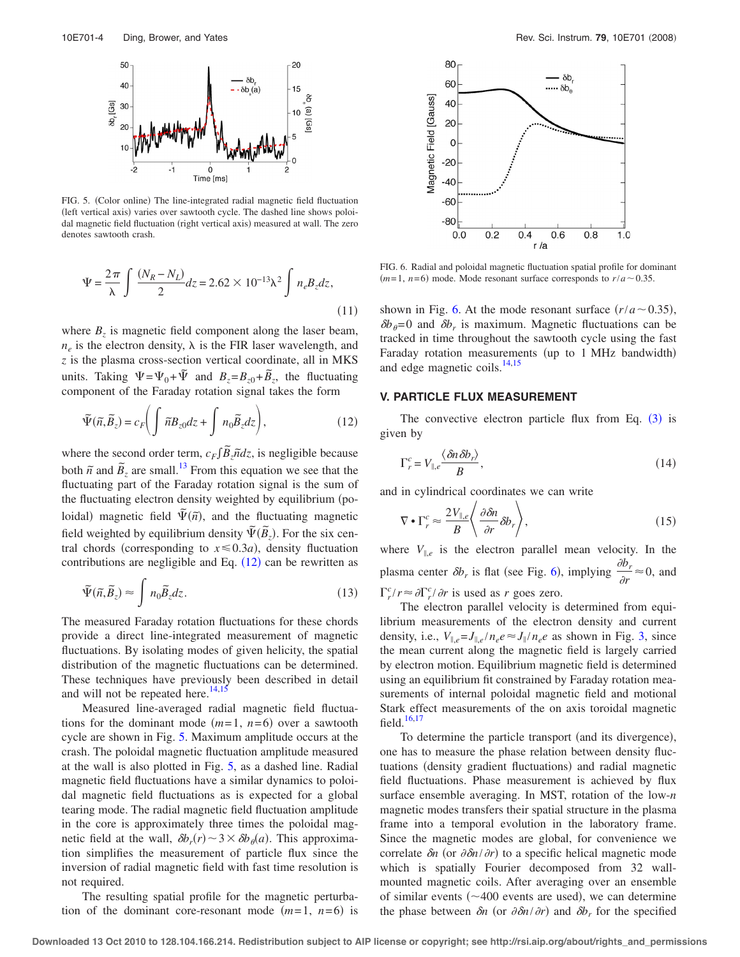<span id="page-3-1"></span>

FIG. 5. (Color online) The line-integrated radial magnetic field fluctuation (left vertical axis) varies over sawtooth cycle. The dashed line shows poloidal magnetic field fluctuation (right vertical axis) measured at wall. The zero denotes sawtooth crash.

$$
\Psi = \frac{2\pi}{\lambda} \int \frac{(N_R - N_L)}{2} dz = 2.62 \times 10^{-13} \lambda^2 \int n_e B_z dz,
$$
\n(11)

where  $B_z$  is magnetic field component along the laser beam,  $n_e$  is the electron density,  $\lambda$  is the FIR laser wavelength, and *z* is the plasma cross-section vertical coordinate, all in MKS units. Taking  $\Psi = \Psi_0 + \tilde{\Psi}$  and  $B_z = B_{z0} + \tilde{B}_z$ , the fluctuating component of the Faraday rotation signal takes the form

<span id="page-3-0"></span>
$$
\widetilde{\Psi}(\widetilde{n}, \widetilde{B}_z) = c_F \bigg( \int \widetilde{n} B_{z0} dz + \int n_0 \widetilde{B}_z dz \bigg), \tag{12}
$$

where the second order term,  $c_F \int \tilde{B}_z \tilde{n} dz$ , is negligible because both  $\tilde{n}$  and  $\tilde{B}_z$  are small.<sup>13</sup> From this equation we see that the fluctuating part of the Faraday rotation signal is the sum of the fluctuating electron density weighted by equilibrium (poloidal) magnetic field  $\tilde{\Psi}(\tilde{n})$ , and the fluctuating magnetic field weighted by equilibrium density  $\tilde{\Psi}(\tilde{B}_z)$ . For the six central chords (corresponding to  $x \le 0.3a$ ), density fluctuation contributions are negligible and Eq.  $(12)$  $(12)$  $(12)$  can be rewritten as

$$
\tilde{\Psi}(\tilde{n}, \tilde{B}_z) \approx \int n_0 \tilde{B}_z dz.
$$
\n(13)

The measured Faraday rotation fluctuations for these chords provide a direct line-integrated measurement of magnetic fluctuations. By isolating modes of given helicity, the spatial distribution of the magnetic fluctuations can be determined. These techniques have previously been described in detail and will not be repeated here. $14,15$  $14,15$ 

Measured line-averaged radial magnetic field fluctuations for the dominant mode  $(m=1, n=6)$  over a sawtooth cycle are shown in Fig. [5.](#page-3-1) Maximum amplitude occurs at the crash. The poloidal magnetic fluctuation amplitude measured at the wall is also plotted in Fig. [5,](#page-3-1) as a dashed line. Radial magnetic field fluctuations have a similar dynamics to poloidal magnetic field fluctuations as is expected for a global tearing mode. The radial magnetic field fluctuation amplitude in the core is approximately three times the poloidal magnetic field at the wall,  $\delta b_r(r) \sim 3 \times \delta b_\theta(a)$ . This approximation simplifies the measurement of particle flux since the inversion of radial magnetic field with fast time resolution is not required.

The resulting spatial profile for the magnetic perturbation of the dominant core-resonant mode  $(m=1, n=6)$  is

<span id="page-3-2"></span>

FIG. 6. Radial and poloidal magnetic fluctuation spatial profile for dominant  $(m=1, n=6)$  mode. Mode resonant surface corresponds to  $r/a \sim 0.35$ .

shown in Fig. [6.](#page-3-2) At the mode resonant surface  $\left(\frac{r}{a}-0.35\right)$ ,  $\delta b_{\theta}=0$  and  $\delta b_r$  is maximum. Magnetic fluctuations can be tracked in time throughout the sawtooth cycle using the fast Faraday rotation measurements (up to 1 MHz bandwidth) and edge magnetic coils. $^{14,15}$  $^{14,15}$  $^{14,15}$ 

#### **V. PARTICLE FLUX MEASUREMENT**

The convective electron particle flux from Eq.  $(3)$  $(3)$  $(3)$  is given by

<span id="page-3-3"></span>
$$
\Gamma_r^c = V_{\parallel,e} \frac{\langle \delta n \delta b_r \rangle}{B},\tag{14}
$$

<span id="page-3-4"></span>and in cylindrical coordinates we can write

$$
\nabla \bullet \Gamma_r^c \approx \frac{2V_{\parallel,e}}{B} \left\langle \frac{\partial \delta n}{\partial r} \delta b_r \right\rangle, \tag{15}
$$

where  $V_{\parallel,e}$  is the electron parallel mean velocity. In the plasma center  $\delta b_r$  is flat (see Fig. [6](#page-3-2)), implying  $\frac{\partial b_r}{\partial r} \approx 0$ , and  $\int_{r}^{c}$ / $r \approx \partial \Gamma_r^c / \partial r$  is used as *r* goes zero.

The electron parallel velocity is determined from equilibrium measurements of the electron density and current density, i.e.,  $V_{\parallel,e} = J_{\parallel,e}/n_e e \approx J_{\parallel}/n_e e$  as shown in Fig. [3,](#page-2-1) since the mean current along the magnetic field is largely carried by electron motion. Equilibrium magnetic field is determined using an equilibrium fit constrained by Faraday rotation measurements of internal poloidal magnetic field and motional Stark effect measurements of the on axis toroidal magnetic field. $16,17$  $16,17$ 

To determine the particle transport (and its divergence), one has to measure the phase relation between density fluctuations (density gradient fluctuations) and radial magnetic field fluctuations. Phase measurement is achieved by flux surface ensemble averaging. In MST, rotation of the low-*n* magnetic modes transfers their spatial structure in the plasma frame into a temporal evolution in the laboratory frame. Since the magnetic modes are global, for convenience we correlate  $\delta n$  (or  $\partial \delta n / \partial r$ ) to a specific helical magnetic mode which is spatially Fourier decomposed from 32 wallmounted magnetic coils. After averaging over an ensemble of similar events  $(~400$  events are used), we can determine the phase between  $\delta n$  (or  $\partial \delta n / \partial r$ ) and  $\delta b_r$  for the specified